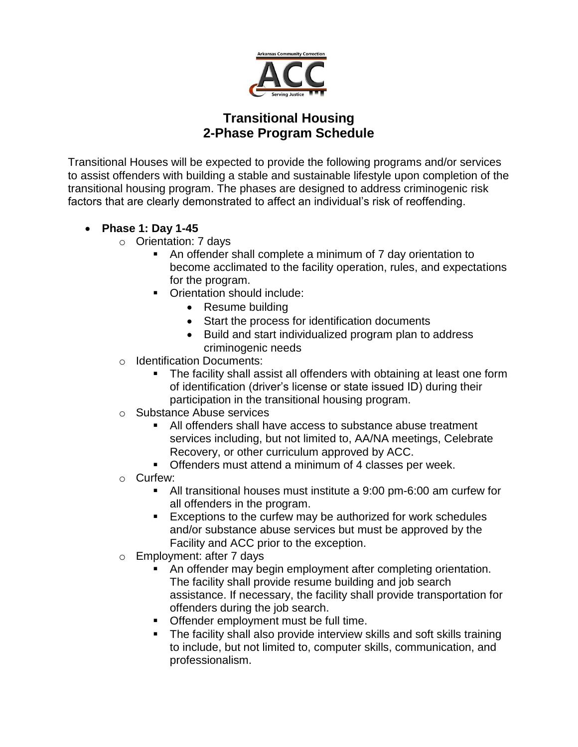

## **Transitional Housing 2-Phase Program Schedule**

Transitional Houses will be expected to provide the following programs and/or services to assist offenders with building a stable and sustainable lifestyle upon completion of the transitional housing program. The phases are designed to address criminogenic risk factors that are clearly demonstrated to affect an individual's risk of reoffending.

- **Phase 1: Day 1-45**
	- o Orientation: 7 days
		- An offender shall complete a minimum of 7 day orientation to become acclimated to the facility operation, rules, and expectations for the program.
		- Orientation should include:
			- Resume building
			- Start the process for identification documents
			- Build and start individualized program plan to address criminogenic needs
	- o Identification Documents:
		- The facility shall assist all offenders with obtaining at least one form of identification (driver's license or state issued ID) during their participation in the transitional housing program.
	- o Substance Abuse services
		- All offenders shall have access to substance abuse treatment services including, but not limited to, AA/NA meetings, Celebrate Recovery, or other curriculum approved by ACC.
		- Offenders must attend a minimum of 4 classes per week.
	- o Curfew:
		- All transitional houses must institute a 9:00 pm-6:00 am curfew for all offenders in the program.
		- **Exceptions to the curfew may be authorized for work schedules** and/or substance abuse services but must be approved by the Facility and ACC prior to the exception.
	- o Employment: after 7 days
		- An offender may begin employment after completing orientation. The facility shall provide resume building and job search assistance. If necessary, the facility shall provide transportation for offenders during the job search.
		- **Offender employment must be full time.**
		- The facility shall also provide interview skills and soft skills training to include, but not limited to, computer skills, communication, and professionalism.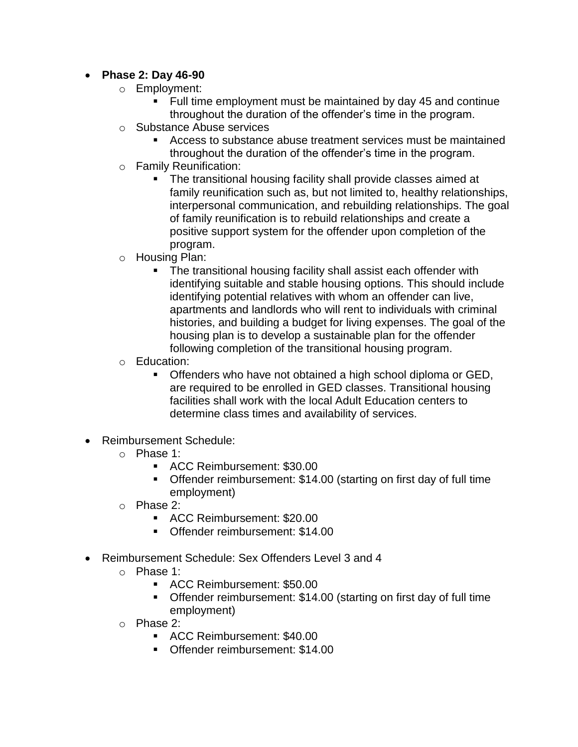## **Phase 2: Day 46-90**

- o Employment:
	- Full time employment must be maintained by day 45 and continue throughout the duration of the offender's time in the program.
- o Substance Abuse services
	- Access to substance abuse treatment services must be maintained throughout the duration of the offender's time in the program.
- o Family Reunification:
	- **The transitional housing facility shall provide classes aimed at** family reunification such as, but not limited to, healthy relationships, interpersonal communication, and rebuilding relationships. The goal of family reunification is to rebuild relationships and create a positive support system for the offender upon completion of the program.
- o Housing Plan:
	- The transitional housing facility shall assist each offender with identifying suitable and stable housing options. This should include identifying potential relatives with whom an offender can live, apartments and landlords who will rent to individuals with criminal histories, and building a budget for living expenses. The goal of the housing plan is to develop a sustainable plan for the offender following completion of the transitional housing program.
- o Education:
	- Offenders who have not obtained a high school diploma or GED, are required to be enrolled in GED classes. Transitional housing facilities shall work with the local Adult Education centers to determine class times and availability of services.
- Reimbursement Schedule:
	- o Phase 1:
		- ACC Reimbursement: \$30.00
		- Offender reimbursement: \$14.00 (starting on first day of full time employment)
	- o Phase 2:
		- ACC Reimbursement: \$20.00
		- Offender reimbursement: \$14.00
- Reimbursement Schedule: Sex Offenders Level 3 and 4
	- o Phase 1:
		- ACC Reimbursement: \$50.00
		- Offender reimbursement: \$14.00 (starting on first day of full time employment)
	- o Phase 2:
		- ACC Reimbursement: \$40.00
		- Offender reimbursement: \$14.00